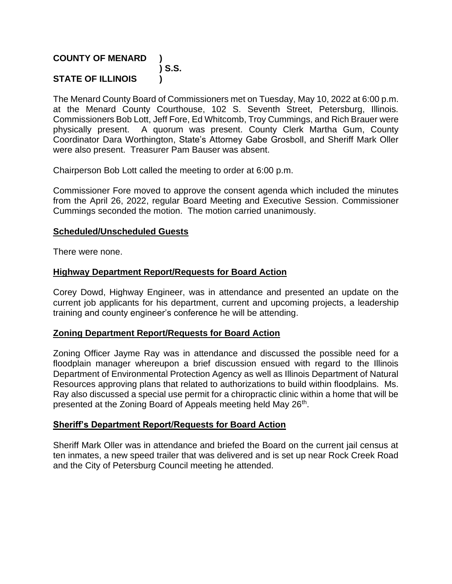## **COUNTY OF MENARD ) ) S.S. STATE OF ILLINOIS )**

The Menard County Board of Commissioners met on Tuesday, May 10, 2022 at 6:00 p.m. at the Menard County Courthouse, 102 S. Seventh Street, Petersburg, Illinois. Commissioners Bob Lott, Jeff Fore, Ed Whitcomb, Troy Cummings, and Rich Brauer were physically present. A quorum was present. County Clerk Martha Gum, County Coordinator Dara Worthington, State's Attorney Gabe Grosboll, and Sheriff Mark Oller were also present. Treasurer Pam Bauser was absent.

Chairperson Bob Lott called the meeting to order at 6:00 p.m.

Commissioner Fore moved to approve the consent agenda which included the minutes from the April 26, 2022, regular Board Meeting and Executive Session. Commissioner Cummings seconded the motion. The motion carried unanimously.

## **Scheduled/Unscheduled Guests**

There were none.

## **Highway Department Report/Requests for Board Action**

Corey Dowd, Highway Engineer, was in attendance and presented an update on the current job applicants for his department, current and upcoming projects, a leadership training and county engineer's conference he will be attending.

## **Zoning Department Report/Requests for Board Action**

Zoning Officer Jayme Ray was in attendance and discussed the possible need for a floodplain manager whereupon a brief discussion ensued with regard to the Illinois Department of Environmental Protection Agency as well as Illinois Department of Natural Resources approving plans that related to authorizations to build within floodplains. Ms. Ray also discussed a special use permit for a chiropractic clinic within a home that will be presented at the Zoning Board of Appeals meeting held May 26<sup>th</sup>.

## **Sheriff's Department Report/Requests for Board Action**

Sheriff Mark Oller was in attendance and briefed the Board on the current jail census at ten inmates, a new speed trailer that was delivered and is set up near Rock Creek Road and the City of Petersburg Council meeting he attended.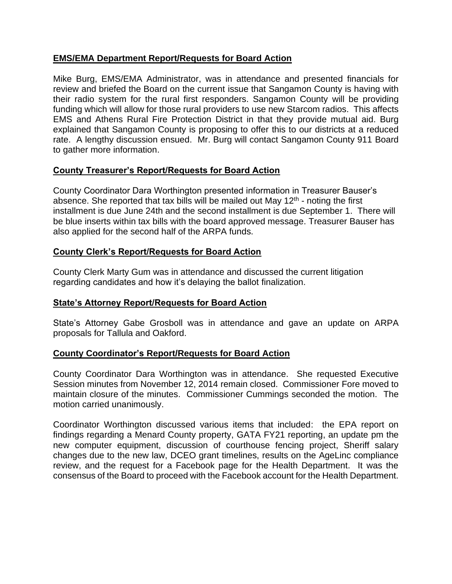## **EMS/EMA Department Report/Requests for Board Action**

Mike Burg, EMS/EMA Administrator, was in attendance and presented financials for review and briefed the Board on the current issue that Sangamon County is having with their radio system for the rural first responders. Sangamon County will be providing funding which will allow for those rural providers to use new Starcom radios. This affects EMS and Athens Rural Fire Protection District in that they provide mutual aid. Burg explained that Sangamon County is proposing to offer this to our districts at a reduced rate. A lengthy discussion ensued. Mr. Burg will contact Sangamon County 911 Board to gather more information.

## **County Treasurer's Report/Requests for Board Action**

County Coordinator Dara Worthington presented information in Treasurer Bauser's absence. She reported that tax bills will be mailed out May  $12<sup>th</sup>$  - noting the first installment is due June 24th and the second installment is due September 1. There will be blue inserts within tax bills with the board approved message. Treasurer Bauser has also applied for the second half of the ARPA funds.

## **County Clerk's Report/Requests for Board Action**

County Clerk Marty Gum was in attendance and discussed the current litigation regarding candidates and how it's delaying the ballot finalization.

## **State's Attorney Report/Requests for Board Action**

State's Attorney Gabe Grosboll was in attendance and gave an update on ARPA proposals for Tallula and Oakford.

## **County Coordinator's Report/Requests for Board Action**

County Coordinator Dara Worthington was in attendance. She requested Executive Session minutes from November 12, 2014 remain closed. Commissioner Fore moved to maintain closure of the minutes. Commissioner Cummings seconded the motion. The motion carried unanimously.

Coordinator Worthington discussed various items that included: the EPA report on findings regarding a Menard County property, GATA FY21 reporting, an update pm the new computer equipment, discussion of courthouse fencing project, Sheriff salary changes due to the new law, DCEO grant timelines, results on the AgeLinc compliance review, and the request for a Facebook page for the Health Department. It was the consensus of the Board to proceed with the Facebook account for the Health Department.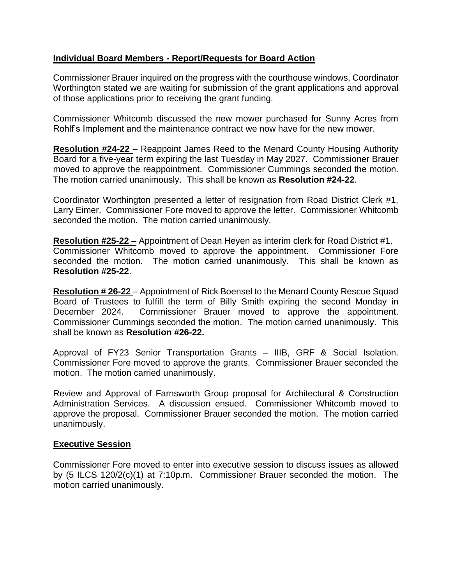## **Individual Board Members - Report/Requests for Board Action**

Commissioner Brauer inquired on the progress with the courthouse windows, Coordinator Worthington stated we are waiting for submission of the grant applications and approval of those applications prior to receiving the grant funding.

Commissioner Whitcomb discussed the new mower purchased for Sunny Acres from Rohlf's Implement and the maintenance contract we now have for the new mower.

**Resolution #24-22** – Reappoint James Reed to the Menard County Housing Authority Board for a five-year term expiring the last Tuesday in May 2027. Commissioner Brauer moved to approve the reappointment. Commissioner Cummings seconded the motion. The motion carried unanimously. This shall be known as **Resolution #24-22**.

Coordinator Worthington presented a letter of resignation from Road District Clerk #1, Larry Eimer. Commissioner Fore moved to approve the letter. Commissioner Whitcomb seconded the motion. The motion carried unanimously.

**Resolution #25-22 –** Appointment of Dean Heyen as interim clerk for Road District #1. Commissioner Whitcomb moved to approve the appointment. Commissioner Fore seconded the motion. The motion carried unanimously. This shall be known as **Resolution #25-22**.

**Resolution # 26-22** – Appointment of Rick Boensel to the Menard County Rescue Squad Board of Trustees to fulfill the term of Billy Smith expiring the second Monday in December 2024. Commissioner Brauer moved to approve the appointment. Commissioner Cummings seconded the motion. The motion carried unanimously. This shall be known as **Resolution #26-22.**

Approval of FY23 Senior Transportation Grants – IIIB, GRF & Social Isolation. Commissioner Fore moved to approve the grants. Commissioner Brauer seconded the motion. The motion carried unanimously.

Review and Approval of Farnsworth Group proposal for Architectural & Construction Administration Services. A discussion ensued. Commissioner Whitcomb moved to approve the proposal. Commissioner Brauer seconded the motion. The motion carried unanimously.

## **Executive Session**

Commissioner Fore moved to enter into executive session to discuss issues as allowed by (5 ILCS 120/2(c)(1) at 7:10p.m. Commissioner Brauer seconded the motion. The motion carried unanimously.